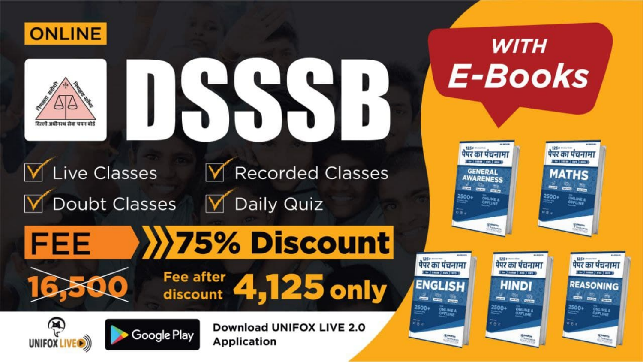



#### √ Live Classes **M** Recorded Classes Doubt Classes Daily Quiz  $\blacktriangledown$

**Google Play** 



**WITH** 

**E-Books** 











**Car Common Laws Laws** 

 $\frac{a}{2}$ 

ONLINE &<br>OFFLINE

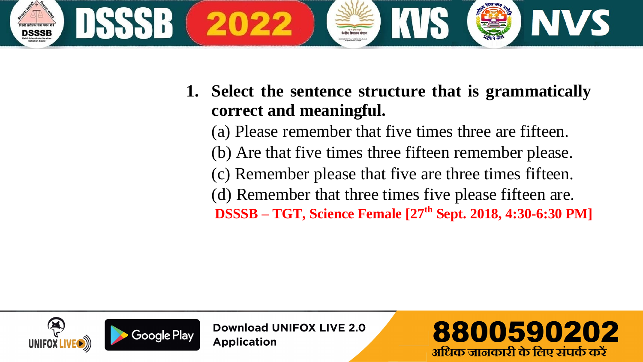

**1. Select the sentence structure that is grammatically correct and meaningful.**

(a) Please remember that five times three are fifteen. (b) Are that five times three fifteen remember please. (c) Remember please that five are three times fifteen. (d) Remember that three times five please fifteen are. **DSSSB – TGT, Science Female [27th Sept. 2018, 4:30-6:30 PM]**



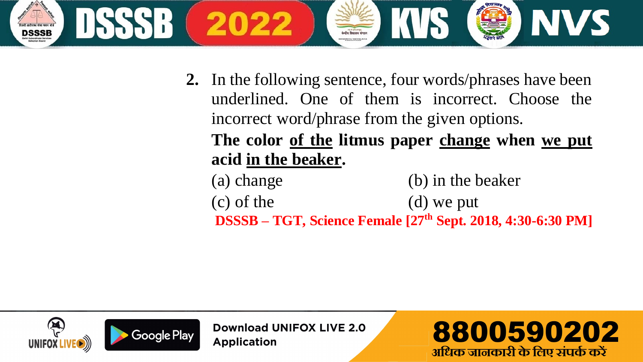

**2.** In the following sentence, four words/phrases have been underlined. One of them is incorrect. Choose the incorrect word/phrase from the given options.

**The color of the litmus paper change when we put acid in the beaker.**

(a) change (b) in the beaker (c) of the (d) we put **DSSSB – TGT, Science Female [27th Sept. 2018, 4:30-6:30 PM]**



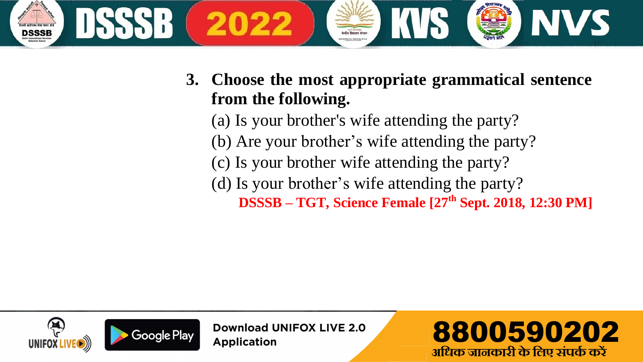

(a) Is your brother's wife attending the party? (b) Are your brother's wife attending the party? (c) Is your brother wife attending the party? (d) Is your brother's wife attending the party? **DSSSB – TGT, Science Female [27 th Sept. 2018, 12:30 PM]**



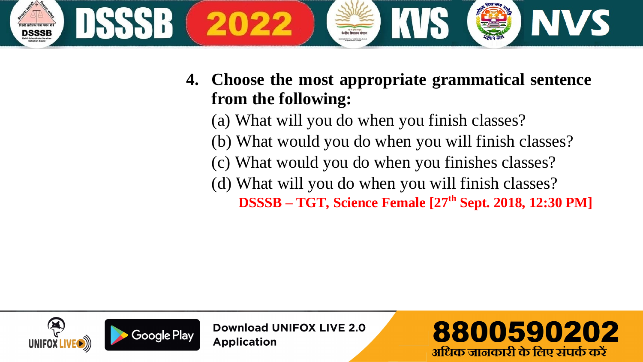

(a) What will you do when you finish classes?

- (b) What would you do when you will finish classes?
- (c) What would you do when you finishes classes?
- (d) What will you do when you will finish classes?

**DSSSB – TGT, Science Female [27th Sept. 2018, 12:30 PM]**



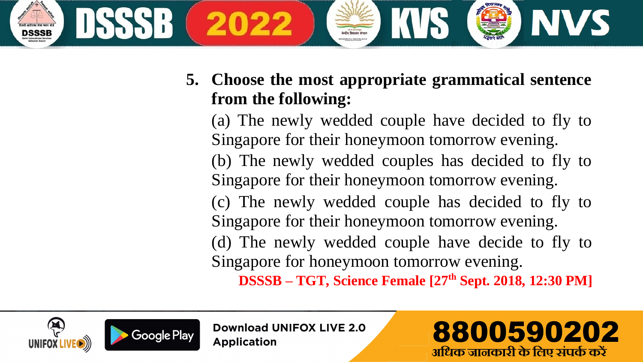

(a) The newly wedded couple have decided to fly to Singapore for their honeymoon tomorrow evening. (b) The newly wedded couples has decided to fly to Singapore for their honeymoon tomorrow evening. (c) The newly wedded couple has decided to fly to Singapore for their honeymoon tomorrow evening. (d) The newly wedded couple have decide to fly to Singapore for honeymoon tomorrow evening. **DSSSB – TGT, Science Female [27th Sept. 2018, 12:30 PM]**





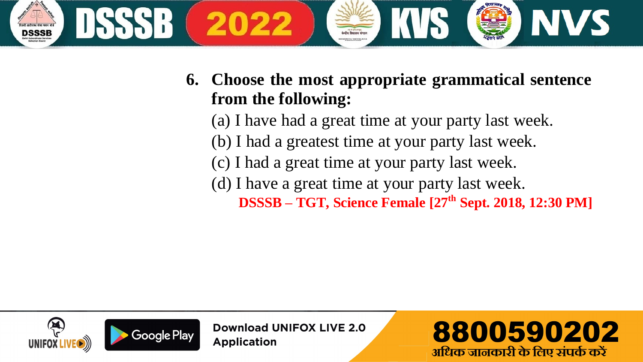

(a) I have had a great time at your party last week.

- (b) I had a greatest time at your party last week.
- (c) I had a great time at your party last week.
- (d) I have a great time at your party last week.

 **DSSSB – TGT, Science Female [27th Sept. 2018, 12:30 PM]**



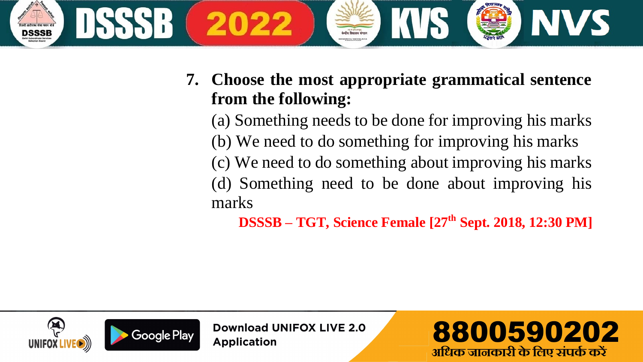

(a) Something needs to be done for improving his marks (b) We need to do something for improving his marks (c) We need to do something about improving his marks (d) Something need to be done about improving his marks

 **DSSSB – TGT, Science Female [27th Sept. 2018, 12:30 PM]**



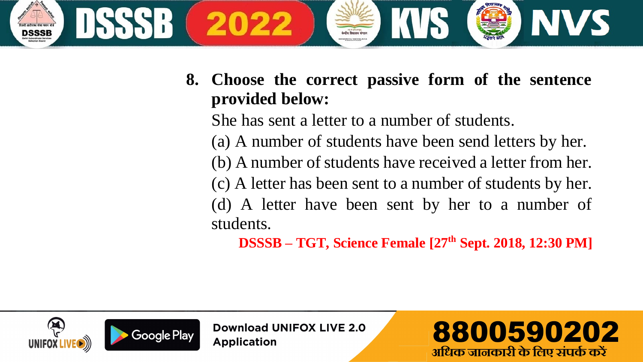

**8. Choose the correct passive form of the sentence provided below:**

She has sent a letter to a number of students.

(a) A number of students have been send letters by her.

(b) A number of students have received a letter from her.

(c) A letter has been sent to a number of students by her.

(d) A letter have been sent by her to a number of students.

 **DSSSB – TGT, Science Female [27th Sept. 2018, 12:30 PM]**



Download UNIFOX LIVE 2.0 **Application** 

8800590202 अधिक जानकारी के लिए संपर्क करें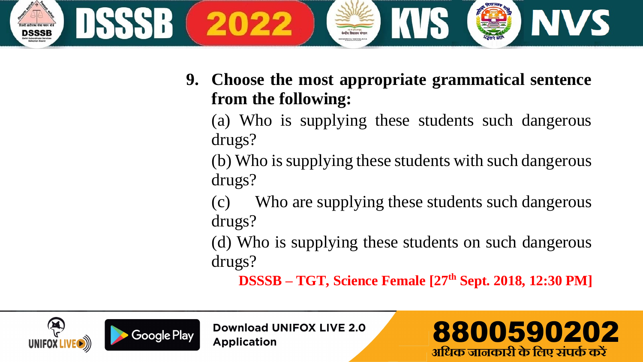

(a) Who is supplying these students such dangerous drugs?

(b) Who is supplying these students with such dangerous drugs?

(c) Who are supplying these students such dangerous drugs?

(d) Who is supplying these students on such dangerous drugs?

**DSSSB – TGT, Science Female [27th Sept. 2018, 12:30 PM]**





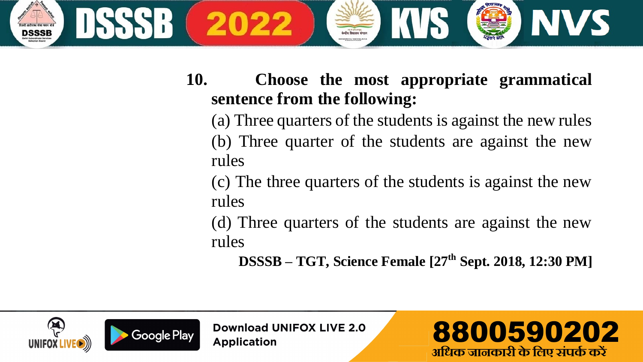

(a) Three quarters of the students is against the new rules (b) Three quarter of the students are against the new rules

(c) The three quarters of the students is against the new rules

(d) Three quarters of the students are against the new rules

 **DSSSB – TGT, Science Female [27th Sept. 2018, 12:30 PM]**



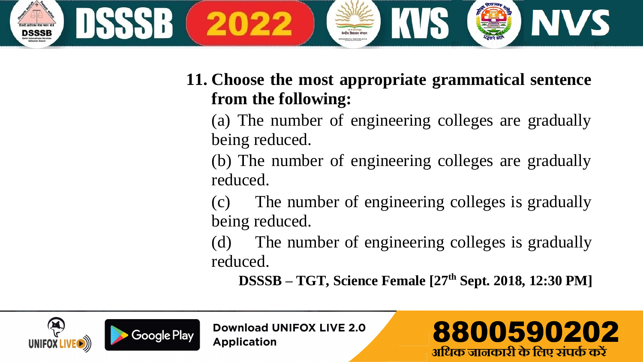

(a) The number of engineering colleges are gradually being reduced.

(b) The number of engineering colleges are gradually reduced.

(c) The number of engineering colleges is gradually being reduced.

(d) The number of engineering colleges is gradually reduced.

**DSSSB – TGT, Science Female [27th Sept. 2018, 12:30 PM]**





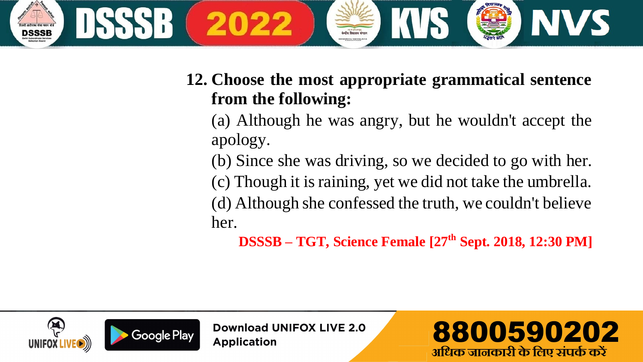

(a) Although he was angry, but he wouldn't accept the apology.

(b) Since she was driving, so we decided to go with her.

(c) Though it is raining, yet we did not take the umbrella. (d) Although she confessed the truth, we couldn't believe her.

 **DSSSB – TGT, Science Female [27th Sept. 2018, 12:30 PM]**



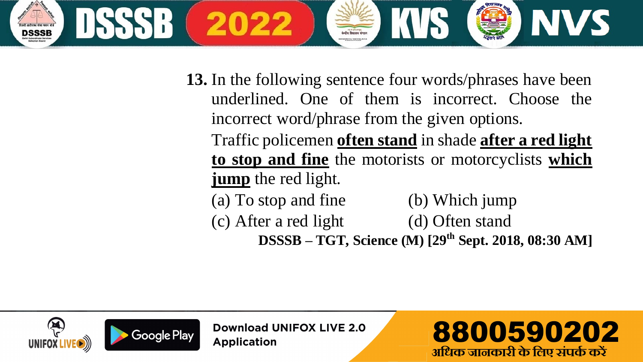

**13.** In the following sentence four words/phrases have been underlined. One of them is incorrect. Choose the incorrect word/phrase from the given options.

Traffic policemen **often stand** in shade **after a red light to stop and fine** the motorists or motorcyclists **which jump** the red light.

(a) To stop and fine (b) Which jump (c) After a red light (d) Often stand

**DSSSB – TGT, Science (M) [29th Sept. 2018, 08:30 AM]**



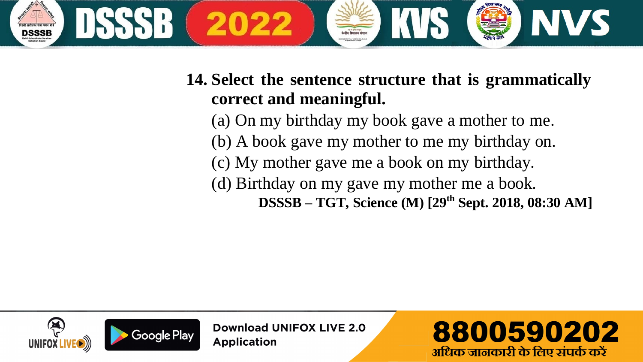

#### **14. Select the sentence structure that is grammatically correct and meaningful.**

(a) On my birthday my book gave a mother to me. (b) A book gave my mother to me my birthday on. (c) My mother gave me a book on my birthday. (d) Birthday on my gave my mother me a book.  **DSSSB – TGT, Science (M) [29th Sept. 2018, 08:30 AM]**



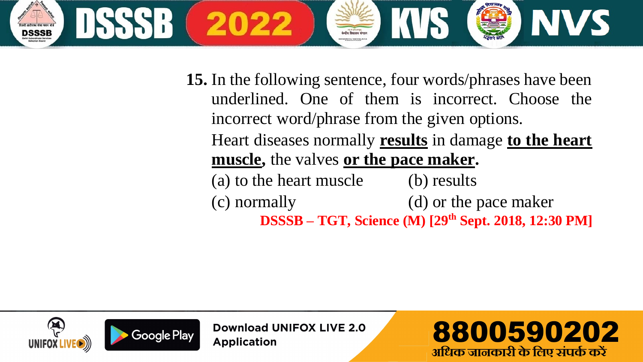

**15.** In the following sentence, four words/phrases have been underlined. One of them is incorrect. Choose the incorrect word/phrase from the given options.

Heart diseases normally **results** in damage **to the heart muscle,** the valves **or the pace maker.**

(a) to the heart muscle (b) results (c) normally (d) or the pace maker  **DSSSB – TGT, Science (M) [29th Sept. 2018, 12:30 PM]**



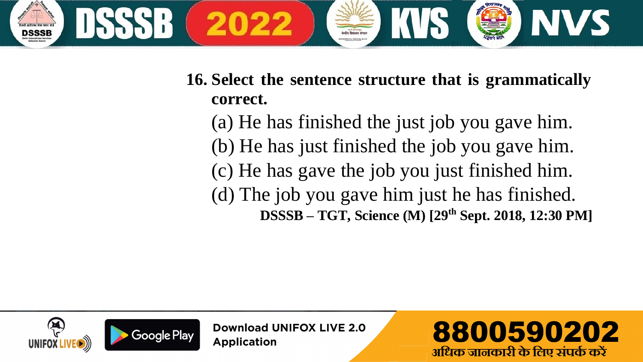

**16. Select the sentence structure that is grammatically correct.**

(a) He has finished the just job you gave him. (b) He has just finished the job you gave him. (c) He has gave the job you just finished him. (d) The job you gave him just he has finished.  **DSSSB – TGT, Science (M) [29th Sept. 2018, 12:30 PM]**

8800590202

अधिक जानकारी के लिए संपर्क करें

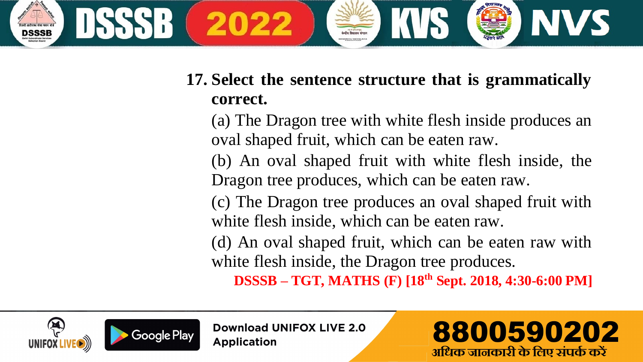

## **17. Select the sentence structure that is grammatically correct.**

(a) The Dragon tree with white flesh inside produces an oval shaped fruit, which can be eaten raw.

(b) An oval shaped fruit with white flesh inside, the Dragon tree produces, which can be eaten raw.

(c) The Dragon tree produces an oval shaped fruit with white flesh inside, which can be eaten raw.

(d) An oval shaped fruit, which can be eaten raw with white flesh inside, the Dragon tree produces.

**DSSSB – TGT, MATHS (F) [18th Sept. 2018, 4:30-6:00 PM]**





**Download UNIFOX LIVE 2.0 Application** 

8800590202 अधिक जानकारी के लिए संपर्क करें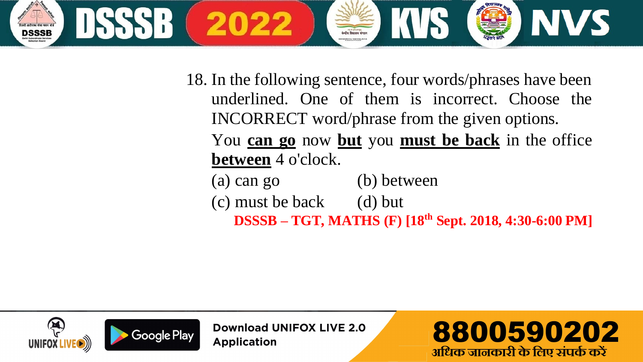

- 18. In the following sentence, four words/phrases have been underlined. One of them is incorrect. Choose the INCORRECT word/phrase from the given options. You **can go** now **but** you **must be back** in the office **between** 4 o'clock.
	- (a) can go (b) between  $(c)$  must be back  $(d)$  but

**DSSSB – TGT, MATHS (F) [18th Sept. 2018, 4:30-6:00 PM]**



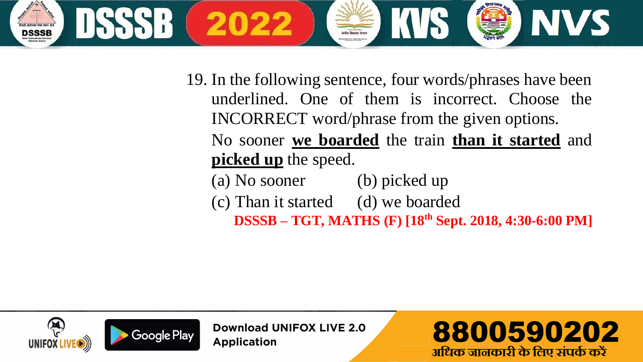

19. In the following sentence, four words/phrases have been underlined. One of them is incorrect. Choose the INCORRECT word/phrase from the given options. No sooner **we boarded** the train **than it started** and **picked up** the speed.

(a) No sooner (b) picked up (c) Than it started (d) we boarded  **DSSSB – TGT, MATHS (F) [18th Sept. 2018, 4:30-6:00 PM]**



**Download UNIFOX LIVE 2.0 Application** 

8800590202 अधिक जानकारी के लिए संपर्क करें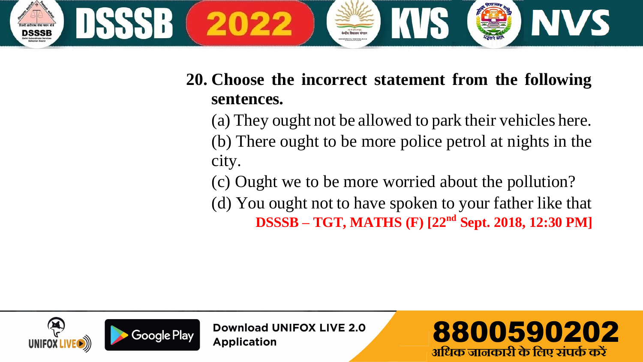

#### **20. Choose the incorrect statement from the following sentences.**

(a) They ought not be allowed to park their vehicles here. (b) There ought to be more police petrol at nights in the city.

(c) Ought we to be more worried about the pollution?

(d) You ought not to have spoken to your father like that  **DSSSB – TGT, MATHS (F) [22nd Sept. 2018, 12:30 PM]**



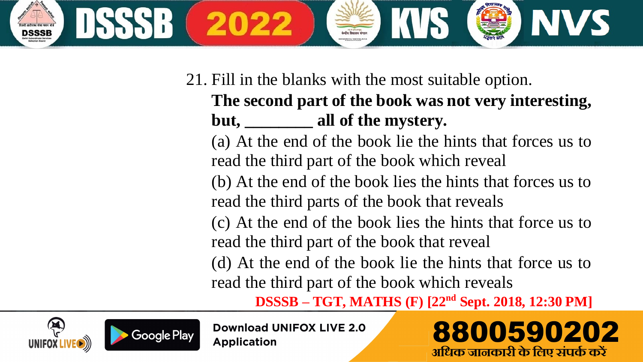

## 21. Fill in the blanks with the most suitable option. **The second part of the book was not very interesting,**  but. **all of the mystery.**

(a) At the end of the book lie the hints that forces us to read the third part of the book which reveal

(b) At the end of the book lies the hints that forces us to read the third parts of the book that reveals

(c) At the end of the book lies the hints that force us to read the third part of the book that reveal

(d) At the end of the book lie the hints that force us to read the third part of the book which reveals

**DSSSB – TGT, MATHS (F) [22nd Sept. 2018, 12:30 PM]**





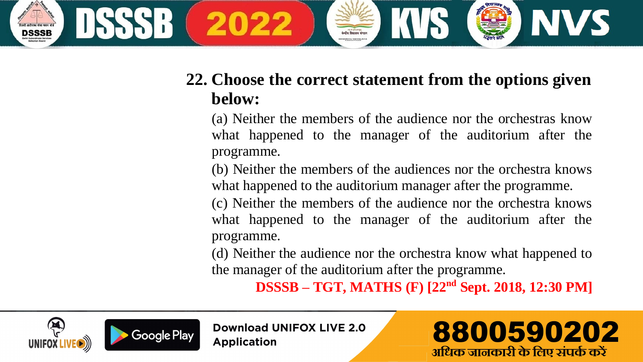

#### **22. Choose the correct statement from the options given below:**

(a) Neither the members of the audience nor the orchestras know what happened to the manager of the auditorium after the programme.

(b) Neither the members of the audiences nor the orchestra knows what happened to the auditorium manager after the programme.

(c) Neither the members of the audience nor the orchestra knows what happened to the manager of the auditorium after the programme.

(d) Neither the audience nor the orchestra know what happened to the manager of the auditorium after the programme.

 **DSSSB – TGT, MATHS (F) [22nd Sept. 2018, 12:30 PM]**



**Download UNIFOX LIVE 2.0 Application** 

# 8800590202 अधिक जानकारी के लिए संपर्क करें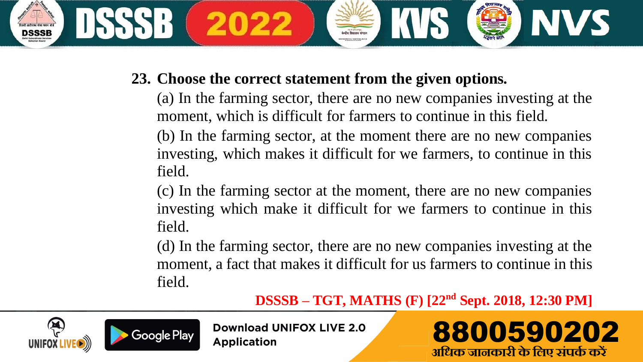

#### **23. Choose the correct statement from the given options.**

(a) In the farming sector, there are no new companies investing at the moment, which is difficult for farmers to continue in this field.

(b) In the farming sector, at the moment there are no new companies investing, which makes it difficult for we farmers, to continue in this field.

(c) In the farming sector at the moment, there are no new companies investing which make it difficult for we farmers to continue in this field.

(d) In the farming sector, there are no new companies investing at the moment, a fact that makes it difficult for us farmers to continue in this field.

**DSSSB – TGT, MATHS (F) [22nd Sept. 2018, 12:30 PM]**



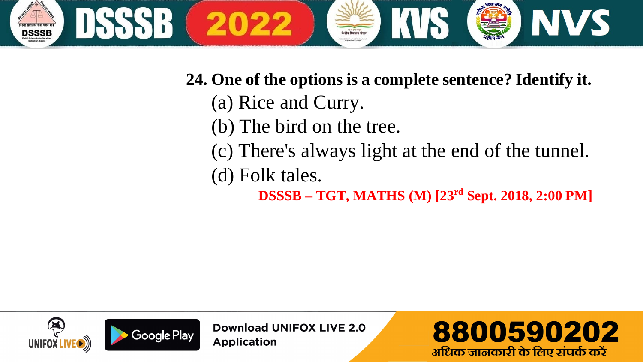

- **24. One of the options is a complete sentence? Identify it.**
	- (a) Rice and Curry.
	- (b) The bird on the tree.
	- (c) There's always light at the end of the tunnel.
	- (d) Folk tales.
		- **DSSSB – TGT, MATHS (M) [23rd Sept. 2018, 2:00 PM]**



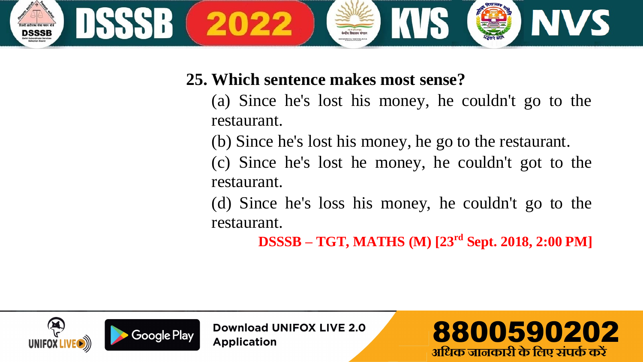

#### **25. Which sentence makes most sense?**

- (a) Since he's lost his money, he couldn't go to the restaurant.
- (b) Since he's lost his money, he go to the restaurant.
- (c) Since he's lost he money, he couldn't got to the restaurant.
- (d) Since he's loss his money, he couldn't go to the restaurant.

**DSSSB – TGT, MATHS (M) [23rd Sept. 2018, 2:00 PM]**

8800590202

अधिक जानकारी के लिए संपर्क करें